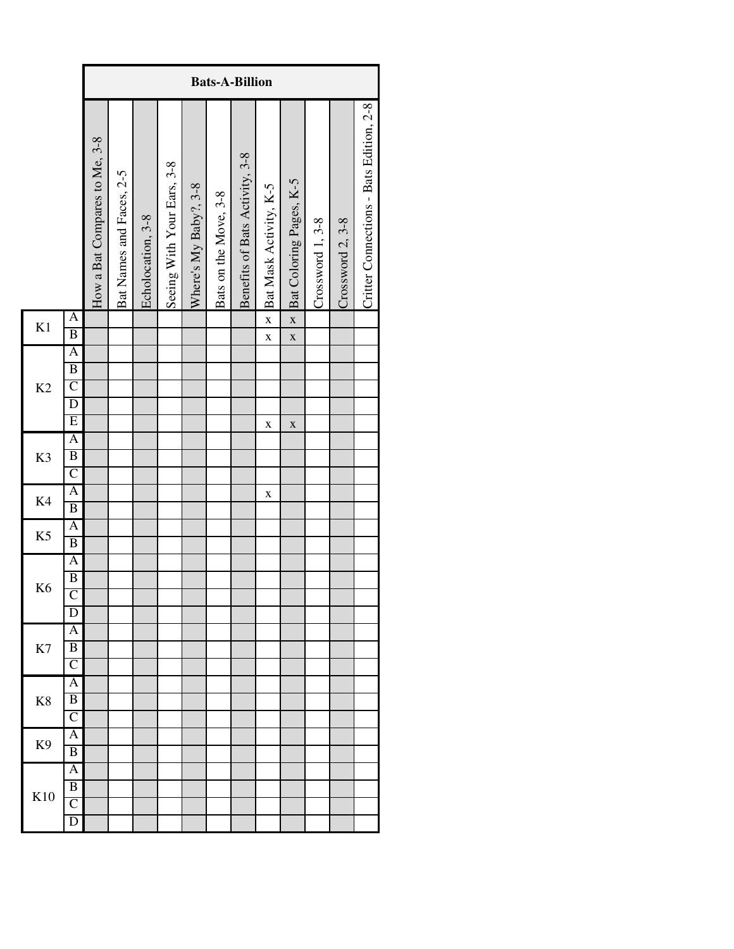| Crossword 2, 3-8 | Critter Connections - Bats Edition, 2-8 |
|------------------|-----------------------------------------|
|                  |                                         |
|                  |                                         |
|                  |                                         |
|                  |                                         |
|                  |                                         |
|                  |                                         |
|                  |                                         |
|                  |                                         |
|                  |                                         |
|                  |                                         |
|                  |                                         |
|                  |                                         |
|                  |                                         |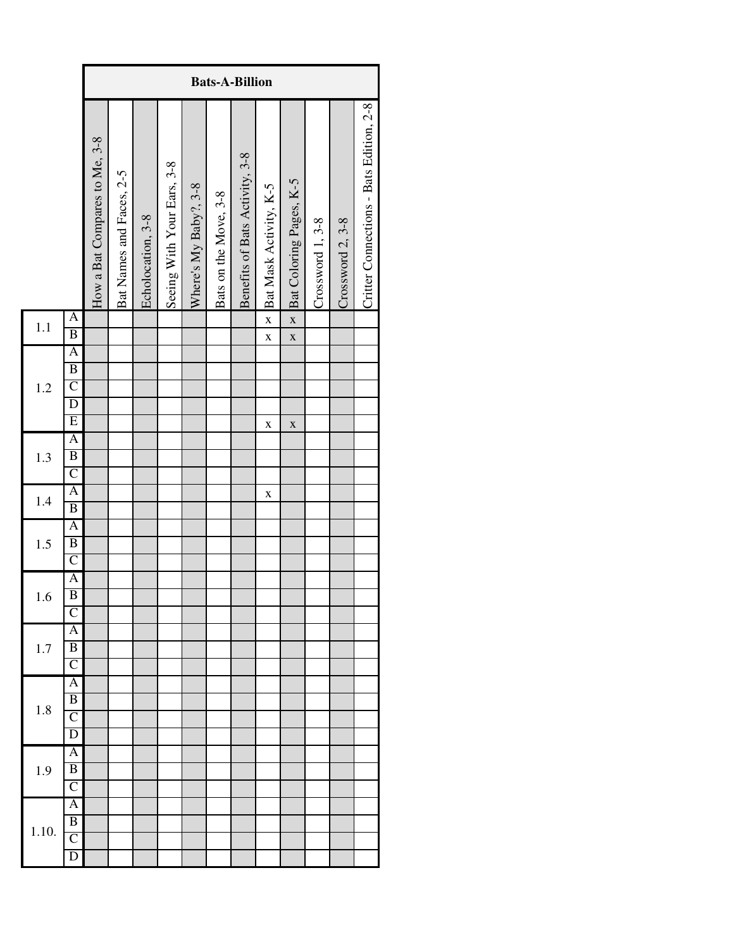|       |                                                                           |                               | <b>Bats-A-Billion</b>    |                   |                            |                       |                       |                                |                            |                                                    |                  |                  |                                         |  |
|-------|---------------------------------------------------------------------------|-------------------------------|--------------------------|-------------------|----------------------------|-----------------------|-----------------------|--------------------------------|----------------------------|----------------------------------------------------|------------------|------------------|-----------------------------------------|--|
|       |                                                                           | How a Bat Compares to Me, 3-8 | Bat Names and Faces, 2-5 | Echolocation, 3-8 | Seeing With Your Ears, 3-8 | Where's My Baby?, 3-8 | Bats on the Move, 3-8 | Benefits of Bats Activity, 3-8 | Bat Mask Activity, K-5     | Bat Coloring Pages, K-5                            | Crossword 1, 3-8 | Crossword 2, 3-8 | Critter Connections - Bats Edition, 2-8 |  |
| 1.1   | $\overline{\mathbf{A}}$<br>$\overline{B}$                                 |                               |                          |                   |                            |                       |                       |                                | $\mathbf X$<br>$\mathbf X$ | $\overline{\mathbf{X}}$<br>$\mathbf{\overline{X}}$ |                  |                  |                                         |  |
| 1.2   | A<br>$\overline{B}$<br>$\overline{C}$<br>$\overline{D}$<br>$\overline{E}$ |                               |                          |                   |                            |                       |                       |                                | $\bf{X}$                   | $\mathbf X$                                        |                  |                  |                                         |  |
| 1.3   | $\overline{A}$<br>$\overline{B}$<br>$\overline{C}$                        |                               |                          |                   |                            |                       |                       |                                |                            |                                                    |                  |                  |                                         |  |
| 1.4   | $\mathsf{A}$<br>$\overline{B}$                                            |                               |                          |                   |                            |                       |                       |                                | $\mathbf X$                |                                                    |                  |                  |                                         |  |
| 1.5   | A<br>$\overline{B}$<br>$\overline{C}$                                     |                               |                          |                   |                            |                       |                       |                                |                            |                                                    |                  |                  |                                         |  |
| 1.6   | A<br>$\overline{B}$<br>$\overline{C}$                                     |                               |                          |                   |                            |                       |                       |                                |                            |                                                    |                  |                  |                                         |  |
| 1.7   | A<br>$\overline{B}$<br>$\overline{\rm C}$                                 |                               |                          |                   |                            |                       |                       |                                |                            |                                                    |                  |                  |                                         |  |
| 1.8   | $\overline{\mathbf{A}}$<br>$\overline{B}$<br>$\overline{\mathsf{C}}$<br>D |                               |                          |                   |                            |                       |                       |                                |                            |                                                    |                  |                  |                                         |  |
| 1.9   | A<br>$\overline{B}$<br>$\overline{\rm C}$                                 |                               |                          |                   |                            |                       |                       |                                |                            |                                                    |                  |                  |                                         |  |
| 1.10. | $\overline{\rm A}$<br>$\overline{B}$<br>$\overline{\rm C}$<br>D           |                               |                          |                   |                            |                       |                       |                                |                            |                                                    |                  |                  |                                         |  |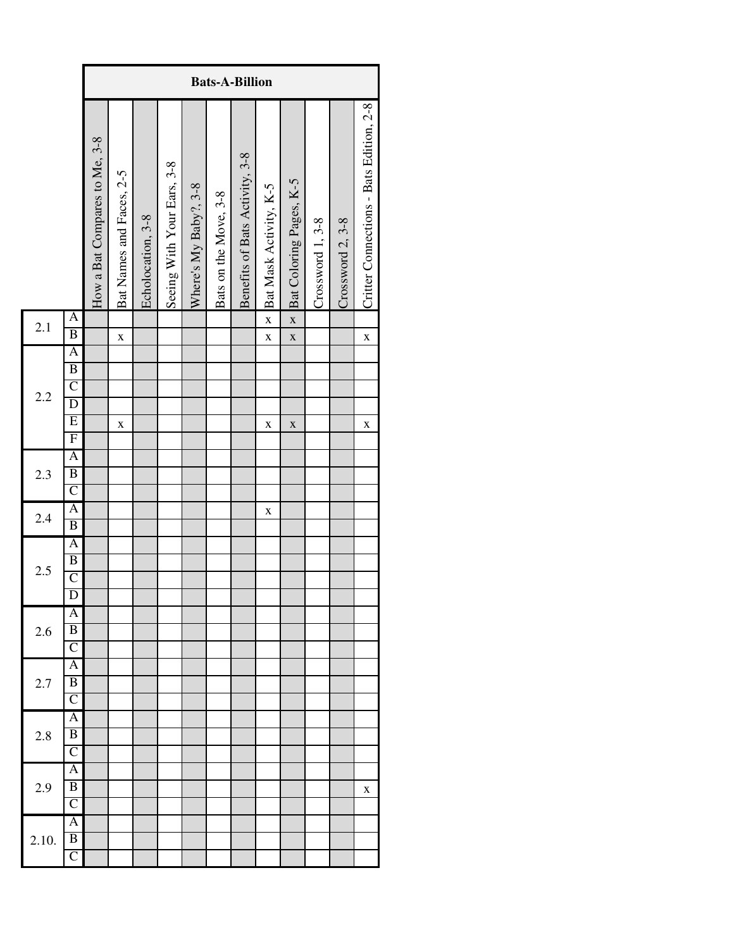|       |                                                                                                          |                               |                          |                   |                            |                       |                       | <b>Bats-A-Billion</b>          |                            |                                         |                  |                  |                                         |
|-------|----------------------------------------------------------------------------------------------------------|-------------------------------|--------------------------|-------------------|----------------------------|-----------------------|-----------------------|--------------------------------|----------------------------|-----------------------------------------|------------------|------------------|-----------------------------------------|
|       |                                                                                                          | How a Bat Compares to Me, 3-8 | Bat Names and Faces, 2-5 | Echolocation, 3-8 | Seeing With Your Ears, 3-8 | Where's My Baby?, 3-8 | Bats on the Move, 3-8 | Benefits of Bats Activity, 3-8 | Bat Mask Activity, K-5     | Bat Coloring Pages, K-5                 | Crossword 1, 3-8 | Crossword 2, 3-8 | Critter Connections - Bats Edition, 2-8 |
| 2.1   | A<br>$\overline{B}$                                                                                      |                               | $\mathbf X$              |                   |                            |                       |                       |                                | $\mathbf X$<br>$\mathbf X$ | $\overline{\mathbf{x}}$<br>$\mathbf{X}$ |                  |                  | $\mathbf X$                             |
| 2.2   | $\overline{A}$<br>$\overline{B}$<br>$\overline{C}$<br>$\overline{D}$<br>$\overline{E}$<br>$\overline{F}$ |                               | $\bf{X}$                 |                   |                            |                       |                       |                                | $\mathbf X$                | $\mathbf X$                             |                  |                  | $\mathbf X$                             |
| 2.3   | A<br>$\overline{B}$<br>$\overline{C}$                                                                    |                               |                          |                   |                            |                       |                       |                                |                            |                                         |                  |                  |                                         |
| 2.4   | $\mathbf{A}$<br>$\overline{B}$                                                                           |                               |                          |                   |                            |                       |                       |                                | X                          |                                         |                  |                  |                                         |
| 2.5   | A<br>$\overline{B}$<br>$\overline{C}$<br>$\overline{D}$                                                  |                               |                          |                   |                            |                       |                       |                                |                            |                                         |                  |                  |                                         |
| 2.6   | Α<br>$\overline{\mathbf{B}}$<br>$\overline{\mathsf{C}}$                                                  |                               |                          |                   |                            |                       |                       |                                |                            |                                         |                  |                  |                                         |
| 2.7   | Ā<br>B<br>$\overline{\rm C}$                                                                             |                               |                          |                   |                            |                       |                       |                                |                            |                                         |                  |                  |                                         |
| 2.8   | A<br>B<br>$\overline{\mathsf{C}}$                                                                        |                               |                          |                   |                            |                       |                       |                                |                            |                                         |                  |                  |                                         |
| 2.9   | Α<br>$\overline{B}$<br>$\overline{\rm C}$                                                                |                               |                          |                   |                            |                       |                       |                                |                            |                                         |                  |                  | X                                       |
| 2.10. | Α<br>$\overline{B}$<br>$\overline{C}$                                                                    |                               |                          |                   |                            |                       |                       |                                |                            |                                         |                  |                  |                                         |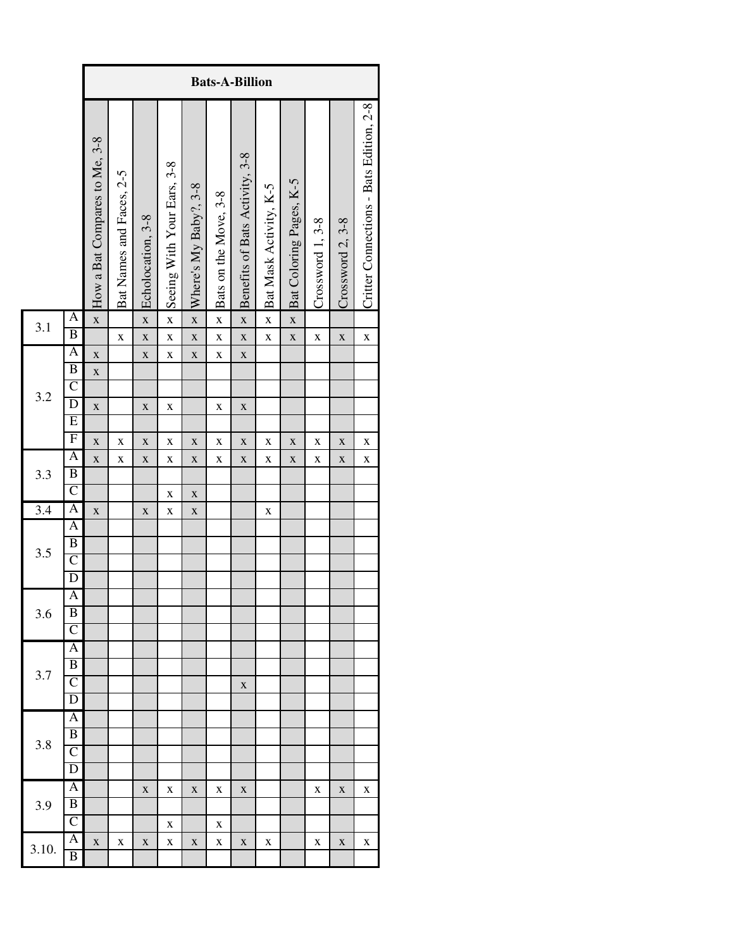|       |                                           |                               |                          |                             |                            |                                        |                            | <b>Bats-A-Billion</b>          |                        |                         |                  |                  |                                         |
|-------|-------------------------------------------|-------------------------------|--------------------------|-----------------------------|----------------------------|----------------------------------------|----------------------------|--------------------------------|------------------------|-------------------------|------------------|------------------|-----------------------------------------|
|       |                                           | How a Bat Compares to Me, 3-8 | Bat Names and Faces, 2-5 | Echolocation, 3-8           | Seeing With Your Ears, 3-8 | $\times$ Where's My Baby?, 3-8         | Bats on the Move, 3-8      | Benefits of Bats Activity, 3-8 | Bat Mask Activity, K-5 | Bat Coloring Pages, K-5 | Crossword 1, 3-8 | Crossword 2, 3-8 | Critter Connections - Bats Edition, 2-8 |
| 3.1   | $\overline{\mathbf{A}}$<br>$\overline{B}$ | $\mathbf{\overline{X}}$       |                          | $\mathbf{\bar{X}}$          | $\mathbf X$                |                                        | $\mathbf X$                | $\mathbf{x}$                   | $\mathbf X$            | $\overline{\mathbf{x}}$ |                  |                  |                                         |
|       | A                                         | $\mathbf{\overline{X}}$       | $\bf{X}$                 | $\mathbf{X}$<br>$\mathbf X$ | $\bf{X}$<br>$\bf{X}$       | $\mathbf{\overline{X}}$<br>$\mathbf X$ | $\mathbf X$<br>$\mathbf X$ | $\mathbf{X}$<br>$\mathbf X$    | $\mathbf X$            | $\mathbf X$             | $\bf{X}$         | $\mathbf X$      | $\bf{X}$                                |
|       | $\overline{B}$                            | $\mathbf{\bar{X}}$            |                          |                             |                            |                                        |                            |                                |                        |                         |                  |                  |                                         |
|       | $\overline{C}$                            |                               |                          |                             |                            |                                        |                            |                                |                        |                         |                  |                  |                                         |
| 3.2   | $\overline{D}$                            | $\mathbf X$                   |                          | $\mathbf X$                 | $\mathbf X$                |                                        | $\mathbf X$                | $\mathbf X$                    |                        |                         |                  |                  |                                         |
|       | $\overline{E}$                            |                               |                          |                             |                            |                                        |                            |                                |                        |                         |                  |                  |                                         |
|       | $\overline{F}$                            | $\mathbf X$                   | $\bf{X}$                 | $\mathbf X$                 | $\bf{X}$                   | $\mathbf X$                            | $\mathbf X$                | $\mathbf X$                    | $\bf{X}$               | $\mathbf X$             | $\bf{X}$         | $\mathbf X$      | X                                       |
| 3.3   | A                                         | $\mathbf{\bar{X}}$            | $\mathbf X$              | $\mathbf X$                 | $\bf{X}$                   | $\mathbf X$                            | $\mathbf X$                | $\mathbf X$                    | $\mathbf X$            | $\mathbf X$             | $\bf{X}$         | $\mathbf X$      | X                                       |
|       | $\overline{B}$                            |                               |                          |                             |                            |                                        |                            |                                |                        |                         |                  |                  |                                         |
|       | $\overline{C}$<br>$\overline{A}$          |                               |                          |                             | $\bf{X}$                   | $\mathbf X$                            |                            |                                |                        |                         |                  |                  |                                         |
| 3.4   | A                                         | $\mathbf X$                   |                          | $\mathbf X$                 | X                          | $\mathbf X$                            |                            |                                | $\mathbf X$            |                         |                  |                  |                                         |
|       | $\overline{B}$                            |                               |                          |                             |                            |                                        |                            |                                |                        |                         |                  |                  |                                         |
| 3.5   | $\overline{\rm C}$                        |                               |                          |                             |                            |                                        |                            |                                |                        |                         |                  |                  |                                         |
|       | $\overline{D}$                            |                               |                          |                             |                            |                                        |                            |                                |                        |                         |                  |                  |                                         |
|       | A                                         |                               |                          |                             |                            |                                        |                            |                                |                        |                         |                  |                  |                                         |
| 3.6   | B                                         |                               |                          |                             |                            |                                        |                            |                                |                        |                         |                  |                  |                                         |
|       | $\overline{\rm C}$                        |                               |                          |                             |                            |                                        |                            |                                |                        |                         |                  |                  |                                         |
|       | A                                         |                               |                          |                             |                            |                                        |                            |                                |                        |                         |                  |                  |                                         |
| 3.7   | $\overline{B}$<br>$\overline{\rm C}$      |                               |                          |                             |                            |                                        |                            |                                |                        |                         |                  |                  |                                         |
|       | D                                         |                               |                          |                             |                            |                                        |                            | X                              |                        |                         |                  |                  |                                         |
|       | $\overline{\rm A}$                        |                               |                          |                             |                            |                                        |                            |                                |                        |                         |                  |                  |                                         |
|       | B                                         |                               |                          |                             |                            |                                        |                            |                                |                        |                         |                  |                  |                                         |
| 3.8   | $\overline{\mathsf{C}}$                   |                               |                          |                             |                            |                                        |                            |                                |                        |                         |                  |                  |                                         |
|       | D                                         |                               |                          |                             |                            |                                        |                            |                                |                        |                         |                  |                  |                                         |
|       | $\overline{\mathbf{A}}$                   |                               |                          | $\mathbf X$                 | X                          | $\mathbf X$                            | X                          | X                              |                        |                         | X                | $\mathbf X$      | X                                       |
| 3.9   | B                                         |                               |                          |                             |                            |                                        |                            |                                |                        |                         |                  |                  |                                         |
|       | $\overline{\rm C}$                        |                               |                          |                             | X                          |                                        | X                          |                                |                        |                         |                  |                  |                                         |
| 3.10. | $\overline{\mathbf{A}}$<br>$\overline{B}$ | $\mathbf X$                   | X                        | X                           | X                          | X                                      | $\mathbf X$                | X                              | X                      |                         | X                | $\mathbf X$      | X                                       |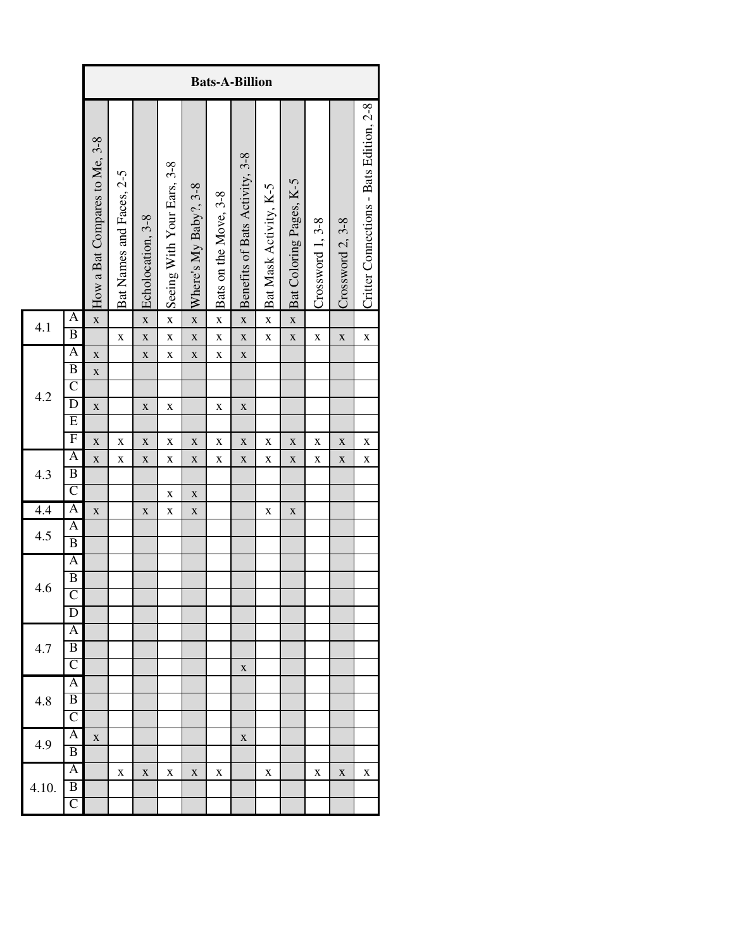|       |                                           |                               |                          |                             |                            |                             | <b>Bats-A-Billion</b>      |                                |                        |                         |                  |                  |                                         |
|-------|-------------------------------------------|-------------------------------|--------------------------|-----------------------------|----------------------------|-----------------------------|----------------------------|--------------------------------|------------------------|-------------------------|------------------|------------------|-----------------------------------------|
|       |                                           | How a Bat Compares to Me, 3-8 | Bat Names and Faces, 2-5 | Echolocation, 3-8           | Seeing With Your Ears, 3-8 | Where's My Baby?, 3-8       | Bats on the Move, 3-8      | Benefits of Bats Activity, 3-8 | Bat Mask Activity, K-5 | Bat Coloring Pages, K-5 | Crossword 1, 3-8 | Crossword 2, 3-8 | Critter Connections - Bats Edition, 2-8 |
| 4.1   | $\overline{\mathsf{A}}$<br>B              | $\overline{\mathbf{X}}$       |                          | $\overline{\mathbf{X}}$     | $\bf{X}$                   | $\overline{\mathbf{X}}$     | $\bf{X}$                   | $\mathbf{x}$                   | $\mathbf X$            | $\mathbf{\overline{X}}$ |                  |                  |                                         |
|       | $\overline{\mathsf{A}}$                   | $\mathbf{\overline{X}}$       | $\bf{X}$                 | $\mathbf{X}$<br>$\mathbf X$ | $\mathbf X$<br>$\bf{X}$    | $\mathbf{x}$<br>$\mathbf X$ | $\mathbf X$<br>$\mathbf X$ | $\mathbf{x}$<br>$\mathbf X$    | $\mathbf{\bar{X}}$     | $\mathbf X$             | $\bf{X}$         | $\mathbf X$      | $\mathbf X$                             |
|       | $\overline{B}$                            | $\mathbf{\bar{X}}$            |                          |                             |                            |                             |                            |                                |                        |                         |                  |                  |                                         |
|       | $\overline{C}$                            |                               |                          |                             |                            |                             |                            |                                |                        |                         |                  |                  |                                         |
| 4.2   | $\overline{\mathrm{D}}$                   | $\mathbf X$                   |                          | $\mathbf X$                 | $\mathbf X$                |                             | $\mathbf X$                | $\mathbf X$                    |                        |                         |                  |                  |                                         |
|       | $\overline{E}$                            |                               |                          |                             |                            |                             |                            |                                |                        |                         |                  |                  |                                         |
|       | $\overline{F}$                            | $\bf{X}$                      | $\mathbf X$              | $\mathbf X$                 | $\bf{X}$                   | $\mathbf X$                 | $\mathbf X$                | $\mathbf X$                    | $\bf{X}$               | X                       | $\bf{X}$         | $\mathbf X$      | $\bf{X}$                                |
|       | A                                         | $\overline{\mathbf{X}}$       | $\bf{X}$                 | $\mathbf X$                 | $\bf{X}$                   | $\mathbf X$                 | $\bf{X}$                   | $\mathbf X$                    | $\bf{X}$               | $\mathbf X$             | $\bf{X}$         | $\mathbf X$      | X                                       |
| 4.3   | $\overline{B}$<br>$\overline{C}$          |                               |                          |                             |                            |                             |                            |                                |                        |                         |                  |                  |                                         |
|       | A                                         |                               |                          |                             | $\bf{X}$                   | $\mathbf X$                 |                            |                                |                        |                         |                  |                  |                                         |
| 4.4   | A                                         | $\mathbf X$                   |                          | $\mathbf X$                 | $\mathbf X$                | $\mathbf X$                 |                            |                                | X                      | X                       |                  |                  |                                         |
| 4.5   | $\overline{\mathbf{B}}$                   |                               |                          |                             |                            |                             |                            |                                |                        |                         |                  |                  |                                         |
|       | A                                         |                               |                          |                             |                            |                             |                            |                                |                        |                         |                  |                  |                                         |
|       | $\overline{B}$                            |                               |                          |                             |                            |                             |                            |                                |                        |                         |                  |                  |                                         |
| 4.6   | $\overline{C}$                            |                               |                          |                             |                            |                             |                            |                                |                        |                         |                  |                  |                                         |
|       | D                                         |                               |                          |                             |                            |                             |                            |                                |                        |                         |                  |                  |                                         |
|       | A                                         |                               |                          |                             |                            |                             |                            |                                |                        |                         |                  |                  |                                         |
| 4.7   | B                                         |                               |                          |                             |                            |                             |                            |                                |                        |                         |                  |                  |                                         |
|       | $\overline{\rm C}$                        |                               |                          |                             |                            |                             |                            | $\mathbf X$                    |                        |                         |                  |                  |                                         |
|       | $\overline{\mathbf{A}}$<br>$\overline{B}$ |                               |                          |                             |                            |                             |                            |                                |                        |                         |                  |                  |                                         |
| 4.8   | $\overline{\text{C}}$                     |                               |                          |                             |                            |                             |                            |                                |                        |                         |                  |                  |                                         |
|       | $\overline{\mathbf{A}}$                   | $\bf{X}$                      |                          |                             |                            |                             |                            | $\mathbf X$                    |                        |                         |                  |                  |                                         |
| 4.9   | $\overline{B}$                            |                               |                          |                             |                            |                             |                            |                                |                        |                         |                  |                  |                                         |
|       | $\overline{\mathbf{A}}$                   |                               | $\mathbf X$              | $\mathbf X$                 | X                          | $\mathbf X$                 | X                          |                                | X                      |                         | X                | $\mathbf X$      | X                                       |
| 4.10. | $\overline{B}$                            |                               |                          |                             |                            |                             |                            |                                |                        |                         |                  |                  |                                         |
|       | $\overline{C}$                            |                               |                          |                             |                            |                             |                            |                                |                        |                         |                  |                  |                                         |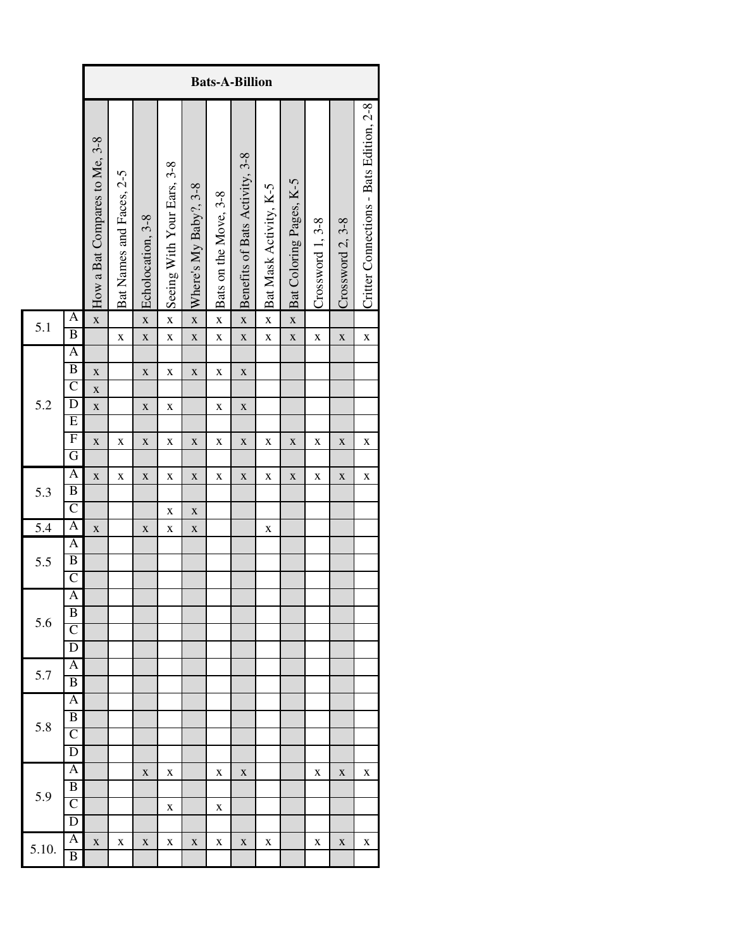|       |                              |                               |                          |                         |                            |                         |                       | <b>Bats-A-Billion</b>          |                        |                         |                  |                  |                                         |
|-------|------------------------------|-------------------------------|--------------------------|-------------------------|----------------------------|-------------------------|-----------------------|--------------------------------|------------------------|-------------------------|------------------|------------------|-----------------------------------------|
|       |                              | How a Bat Compares to Me, 3-8 | Bat Names and Faces, 2-5 | Echolocation, 3-8       | Seeing With Your Ears, 3-8 | Where's My Baby?, 3-8   | Bats on the Move, 3-8 | Benefits of Bats Activity, 3-8 | Bat Mask Activity, K-5 | Bat Coloring Pages, K-5 | Crossword 1, 3-8 | Crossword 2, 3-8 | Critter Connections - Bats Edition, 2-8 |
| 5.1   | A<br>$\overline{\mathbf{B}}$ | $\overline{\mathbf{X}}$       |                          | $\overline{\mathbf{X}}$ | $\bf{X}$                   | $\overline{\mathbf{x}}$ | $\mathbf X$           | $\overline{\mathbf{X}}$        | $\mathbf X$            | $\mathbf{x}$            |                  |                  |                                         |
|       | A                            |                               | $\bf{X}$                 | $\mathbf X$             | $\bf{X}$                   | $\mathbf X$             | $\mathbf X$           | $\mathbf X$                    | $\mathbf X$            | $\mathbf X$             | X                | $\mathbf X$      | X                                       |
|       | $\overline{B}$               |                               |                          |                         |                            |                         | $\mathbf X$           |                                |                        |                         |                  |                  |                                         |
|       | $\mathsf{C}$                 | $\mathbf X$                   |                          | $\mathbf X$             | $\mathbf X$                | $\mathbf X$             |                       | $\mathbf X$                    |                        |                         |                  |                  |                                         |
| 5.2   | $\overline{\mathrm{D}}$      | $\mathbf X$<br>$\mathbf X$    |                          | $\mathbf X$             | $\mathbf X$                |                         | $\mathbf X$           | $\mathbf X$                    |                        |                         |                  |                  |                                         |
|       | $\overline{E}$               |                               |                          |                         |                            |                         |                       |                                |                        |                         |                  |                  |                                         |
|       | $\overline{F}$               | $\mathbf X$                   | X                        | $\mathbf X$             | $\mathbf X$                | $\mathbf X$             | $\mathbf X$           | $\mathbf X$                    | $\mathbf X$            | $\mathbf X$             | X                | $\mathbf X$      | $\mathbf X$                             |
|       | G                            |                               |                          |                         |                            |                         |                       |                                |                        |                         |                  |                  |                                         |
|       | A                            | $\bf{X}$                      | X                        | $\mathbf X$             | $\mathbf X$                | $\mathbf X$             | $\mathbf X$           | $\mathbf X$                    | $\mathbf X$            | $\mathbf X$             | X                | $\mathbf X$      | $\mathbf X$                             |
| 5.3   | $\overline{B}$               |                               |                          |                         |                            |                         |                       |                                |                        |                         |                  |                  |                                         |
|       | $\overline{C}$               |                               |                          |                         | $\mathbf X$                | $\mathbf X$             |                       |                                |                        |                         |                  |                  |                                         |
| 5.4   | A                            | $\mathbf X$                   |                          | $\mathbf X$             | $\mathbf X$                | $\mathbf X$             |                       |                                | $\mathbf X$            |                         |                  |                  |                                         |
|       | A                            |                               |                          |                         |                            |                         |                       |                                |                        |                         |                  |                  |                                         |
| 5.5   | $\overline{B}$               |                               |                          |                         |                            |                         |                       |                                |                        |                         |                  |                  |                                         |
|       | $\overline{C}$               |                               |                          |                         |                            |                         |                       |                                |                        |                         |                  |                  |                                         |
|       | A                            |                               |                          |                         |                            |                         |                       |                                |                        |                         |                  |                  |                                         |
| 5.6   | B<br>$\overline{\mathsf{C}}$ |                               |                          |                         |                            |                         |                       |                                |                        |                         |                  |                  |                                         |
|       | D                            |                               |                          |                         |                            |                         |                       |                                |                        |                         |                  |                  |                                         |
|       | A                            |                               |                          |                         |                            |                         |                       |                                |                        |                         |                  |                  |                                         |
| 5.7   | B                            |                               |                          |                         |                            |                         |                       |                                |                        |                         |                  |                  |                                         |
|       | $\overline{\mathbf{A}}$      |                               |                          |                         |                            |                         |                       |                                |                        |                         |                  |                  |                                         |
|       | $\overline{B}$               |                               |                          |                         |                            |                         |                       |                                |                        |                         |                  |                  |                                         |
| 5.8   | $\overline{\rm C}$           |                               |                          |                         |                            |                         |                       |                                |                        |                         |                  |                  |                                         |
|       | D                            |                               |                          |                         |                            |                         |                       |                                |                        |                         |                  |                  |                                         |
|       | A                            |                               |                          | $\mathbf X$             | X                          |                         | X                     | $\mathbf X$                    |                        |                         | X                | $\mathbf X$      | X                                       |
| 5.9   | $\overline{B}$               |                               |                          |                         |                            |                         |                       |                                |                        |                         |                  |                  |                                         |
|       | $\overline{\rm C}$           |                               |                          |                         | X                          |                         | X                     |                                |                        |                         |                  |                  |                                         |
|       | D                            |                               |                          |                         |                            |                         |                       |                                |                        |                         |                  |                  |                                         |
| 5.10. | $\overline{\mathbf{A}}$      | $\mathbf X$                   | X                        | X                       | X                          | X                       | X                     | X                              | X                      |                         | X                | X                | X                                       |
|       | B                            |                               |                          |                         |                            |                         |                       |                                |                        |                         |                  |                  |                                         |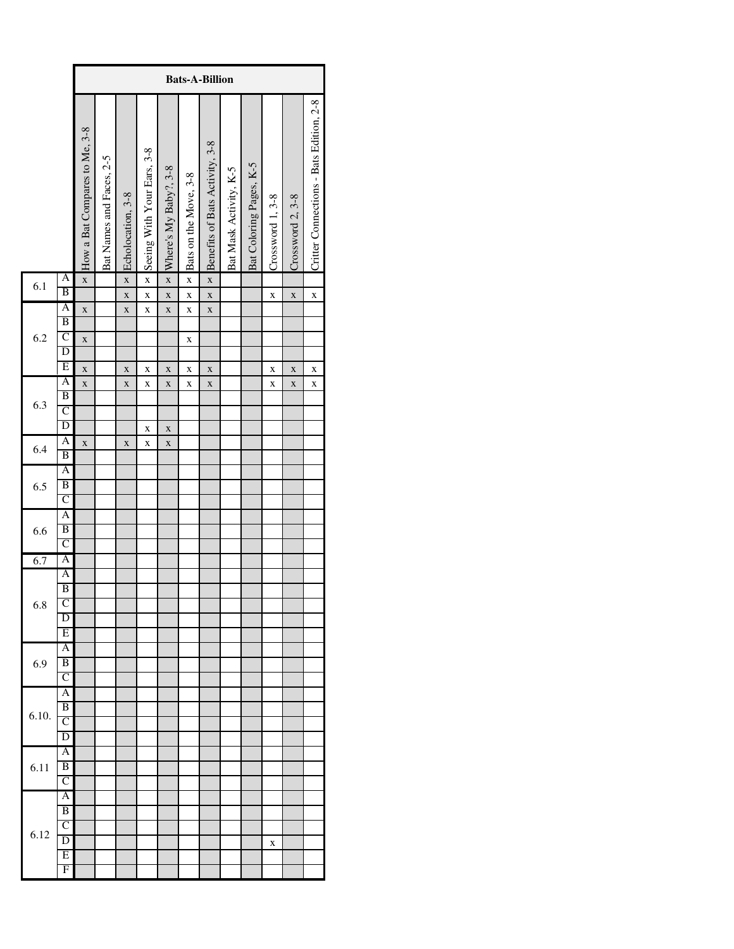|       |                                         |                               | <b>Bats-A-Billion</b>    |                         |                            |                            |                         |                                |                        |                         |                  |                  |                                         |  |
|-------|-----------------------------------------|-------------------------------|--------------------------|-------------------------|----------------------------|----------------------------|-------------------------|--------------------------------|------------------------|-------------------------|------------------|------------------|-----------------------------------------|--|
|       |                                         | How a Bat Compares to Me, 3-8 | Bat Names and Faces, 2-5 | Echolocation, 3-8       | Seeing With Your Ears, 3-8 | Where's My Baby?, 3-8      | Bats on the Move, 3-8   | Benefits of Bats Activity, 3-8 | Bat Mask Activity, K-5 | Bat Coloring Pages, K-5 | Crossword 1, 3-8 | Crossword 2, 3-8 | Critter Connections - Bats Edition, 2-8 |  |
| 6.1   | A                                       | $\overline{\mathbf{x}}$       |                          | $\overline{\mathbf{x}}$ | $\overline{\mathbf{X}}$    | $\overline{\mathbf{x}}$    | $\overline{\mathbf{X}}$ | $\overline{\mathbf{x}}$        |                        |                         |                  |                  |                                         |  |
|       | B                                       |                               |                          | $\mathbf{x}$            | $\mathbf{x}$               | $\mathbf{x}$               | $\mathbf{x}$            | $\mathbf{x}$                   |                        |                         | X                | X                | $\mathbf{\bar{X}}$                      |  |
|       | A                                       | $\mathbf x$                   |                          | $\mathbf x$             | $\bf{X}$                   | $\mathbf{x}$               | X                       | $\mathbf{x}$                   |                        |                         |                  |                  |                                         |  |
|       | $\overline{\mathbf{B}}$<br>$\mathsf{C}$ |                               |                          |                         |                            |                            |                         |                                |                        |                         |                  |                  |                                         |  |
| 6.2   | $\overline{\mathbb{D}}$                 | $\bf{X}$                      |                          |                         |                            |                            | X                       |                                |                        |                         |                  |                  |                                         |  |
|       | E                                       |                               |                          |                         |                            |                            |                         |                                |                        |                         |                  |                  |                                         |  |
|       | A                                       | $\mathbf{\bar{X}}$            |                          | X                       | X                          | X                          | X                       | X                              |                        |                         | X                | X                | X                                       |  |
|       | $\overline{B}$                          | $\mathbf x$                   |                          | X                       | X                          | X                          | X                       | X                              |                        |                         | X                | X                | X                                       |  |
| 6.3   | $\overline{\rm c}$                      |                               |                          |                         |                            |                            |                         |                                |                        |                         |                  |                  |                                         |  |
|       | $\overline{\mathbf{D}}$                 |                               |                          |                         |                            |                            |                         |                                |                        |                         |                  |                  |                                         |  |
|       | A                                       | X                             |                          | X                       | X<br>X                     | $\mathbf x$<br>$\mathbf X$ |                         |                                |                        |                         |                  |                  |                                         |  |
| 6.4   | B                                       |                               |                          |                         |                            |                            |                         |                                |                        |                         |                  |                  |                                         |  |
|       | A                                       |                               |                          |                         |                            |                            |                         |                                |                        |                         |                  |                  |                                         |  |
| 6.5   | B                                       |                               |                          |                         |                            |                            |                         |                                |                        |                         |                  |                  |                                         |  |
|       | $\overline{\rm c}$                      |                               |                          |                         |                            |                            |                         |                                |                        |                         |                  |                  |                                         |  |
|       | A                                       |                               |                          |                         |                            |                            |                         |                                |                        |                         |                  |                  |                                         |  |
| 6.6   | B                                       |                               |                          |                         |                            |                            |                         |                                |                        |                         |                  |                  |                                         |  |
|       | C                                       |                               |                          |                         |                            |                            |                         |                                |                        |                         |                  |                  |                                         |  |
| 6.7   | A                                       |                               |                          |                         |                            |                            |                         |                                |                        |                         |                  |                  |                                         |  |
|       | A                                       |                               |                          |                         |                            |                            |                         |                                |                        |                         |                  |                  |                                         |  |
|       | B                                       |                               |                          |                         |                            |                            |                         |                                |                        |                         |                  |                  |                                         |  |
| 6.8   | C                                       |                               |                          |                         |                            |                            |                         |                                |                        |                         |                  |                  |                                         |  |
|       | D                                       |                               |                          |                         |                            |                            |                         |                                |                        |                         |                  |                  |                                         |  |
|       | E                                       |                               |                          |                         |                            |                            |                         |                                |                        |                         |                  |                  |                                         |  |
|       | $\overline{A}$<br>B                     |                               |                          |                         |                            |                            |                         |                                |                        |                         |                  |                  |                                         |  |
| 6.9   | $\overline{\rm c}$                      |                               |                          |                         |                            |                            |                         |                                |                        |                         |                  |                  |                                         |  |
|       | A                                       |                               |                          |                         |                            |                            |                         |                                |                        |                         |                  |                  |                                         |  |
|       | $\overline{B}$                          |                               |                          |                         |                            |                            |                         |                                |                        |                         |                  |                  |                                         |  |
| 6.10. | $\overline{\rm C}$                      |                               |                          |                         |                            |                            |                         |                                |                        |                         |                  |                  |                                         |  |
|       | $\overline{D}$                          |                               |                          |                         |                            |                            |                         |                                |                        |                         |                  |                  |                                         |  |
|       | A                                       |                               |                          |                         |                            |                            |                         |                                |                        |                         |                  |                  |                                         |  |
| 6.11  | B                                       |                               |                          |                         |                            |                            |                         |                                |                        |                         |                  |                  |                                         |  |
|       | $\overline{\rm C}$                      |                               |                          |                         |                            |                            |                         |                                |                        |                         |                  |                  |                                         |  |
|       | $\overline{A}$                          |                               |                          |                         |                            |                            |                         |                                |                        |                         |                  |                  |                                         |  |
|       | B                                       |                               |                          |                         |                            |                            |                         |                                |                        |                         |                  |                  |                                         |  |
|       | C                                       |                               |                          |                         |                            |                            |                         |                                |                        |                         |                  |                  |                                         |  |
| 6.12  | $\overline{D}$                          |                               |                          |                         |                            |                            |                         |                                |                        |                         | X                |                  |                                         |  |
|       | Ε                                       |                               |                          |                         |                            |                            |                         |                                |                        |                         |                  |                  |                                         |  |
|       | F                                       |                               |                          |                         |                            |                            |                         |                                |                        |                         |                  |                  |                                         |  |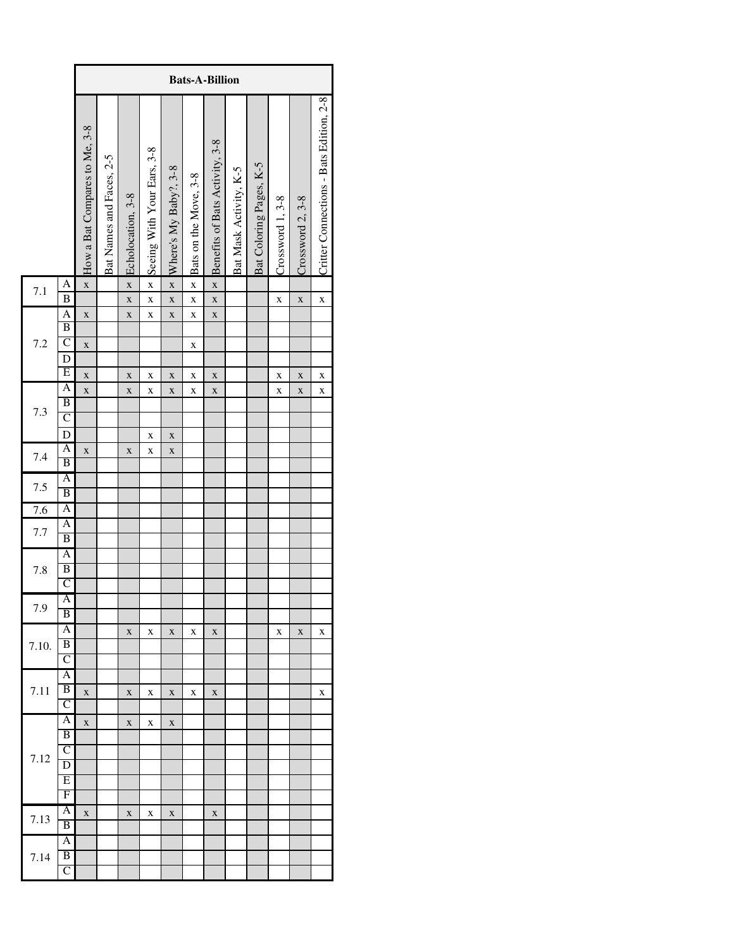|       |                                           |                               | <b>Bats-A-Billion</b>    |                         |                            |                         |                       |                                |                        |                         |                  |                  |                                         |  |  |
|-------|-------------------------------------------|-------------------------------|--------------------------|-------------------------|----------------------------|-------------------------|-----------------------|--------------------------------|------------------------|-------------------------|------------------|------------------|-----------------------------------------|--|--|
|       |                                           | How a Bat Compares to Me, 3-8 | Bat Names and Faces, 2-5 | Echolocation, 3-8       | Seeing With Your Ears, 3-8 | Where's My Baby?, 3-8   | Bats on the Move, 3-8 | Benefits of Bats Activity, 3-8 | Bat Mask Activity, K-5 | Bat Coloring Pages, K-5 | Crossword 1, 3-8 | Crossword 2, 3-8 | Critter Connections - Bats Edition, 2-8 |  |  |
| 7.1   | A                                         | $\mathbf{\bar{X}}$            |                          | $\mathbf{\overline{X}}$ | $\mathbf{x}$               | $\overline{\mathbf{X}}$ | $\mathbf{x}$          | $\overline{\mathbf{X}}$        |                        |                         |                  |                  |                                         |  |  |
|       | $\bf{B}$                                  |                               |                          | $\mathbf{X}$            | $\mathbf{\bar{X}}$         | $\mathbf{\bar{X}}$      | $\mathbf{\bar{X}}$    | $\mathbf{x}$                   |                        |                         | $\bf{X}$         | $\mathbf X$      | $\bf{X}$                                |  |  |
|       | $\overline{A}$<br>$\overline{\mathbf{B}}$ | $\bf{X}$                      |                          | $\mathbf X$             | $\bf{X}$                   | $\mathbf X$             | $\bf{X}$              | $\mathbf X$                    |                        |                         |                  |                  |                                         |  |  |
| 7.2   | $\overline{\rm C}$                        | $\mathbf X$                   |                          |                         |                            |                         | $\mathbf X$           |                                |                        |                         |                  |                  |                                         |  |  |
|       | D                                         |                               |                          |                         |                            |                         |                       |                                |                        |                         |                  |                  |                                         |  |  |
|       | Ε                                         | $\mathbf X$                   |                          | $\mathbf X$             | X                          | $\mathbf X$             | X                     | $\mathbf X$                    |                        |                         | X                | X                | X                                       |  |  |
|       | A                                         | $\mathbf{\bar{X}}$            |                          | $\mathbf X$             | X                          | $\mathbf X$             | X                     | $\mathbf X$                    |                        |                         | X                | X                | X                                       |  |  |
|       | B                                         |                               |                          |                         |                            |                         |                       |                                |                        |                         |                  |                  |                                         |  |  |
| 7.3   | $\mathsf{C}$                              |                               |                          |                         |                            |                         |                       |                                |                        |                         |                  |                  |                                         |  |  |
|       | $\mathbf D$                               |                               |                          |                         | X                          | $\mathbf X$             |                       |                                |                        |                         |                  |                  |                                         |  |  |
| 7.4   | A                                         | $\mathbf X$                   |                          | $\mathbf X$             | X                          | $\mathbf X$             |                       |                                |                        |                         |                  |                  |                                         |  |  |
|       | B                                         |                               |                          |                         |                            |                         |                       |                                |                        |                         |                  |                  |                                         |  |  |
| 7.5   | A                                         |                               |                          |                         |                            |                         |                       |                                |                        |                         |                  |                  |                                         |  |  |
|       | B                                         |                               |                          |                         |                            |                         |                       |                                |                        |                         |                  |                  |                                         |  |  |
| 7.6   | A<br>A                                    |                               |                          |                         |                            |                         |                       |                                |                        |                         |                  |                  |                                         |  |  |
| 7.7   | $\overline{\mathbf{B}}$                   |                               |                          |                         |                            |                         |                       |                                |                        |                         |                  |                  |                                         |  |  |
|       | A                                         |                               |                          |                         |                            |                         |                       |                                |                        |                         |                  |                  |                                         |  |  |
| 7.8   | $\overline{\mathbf{B}}$                   |                               |                          |                         |                            |                         |                       |                                |                        |                         |                  |                  |                                         |  |  |
|       | $\overline{\rm c}$                        |                               |                          |                         |                            |                         |                       |                                |                        |                         |                  |                  |                                         |  |  |
|       | A                                         |                               |                          |                         |                            |                         |                       |                                |                        |                         |                  |                  |                                         |  |  |
| 7.9   | $\overline{B}$                            |                               |                          |                         |                            |                         |                       |                                |                        |                         |                  |                  |                                         |  |  |
|       | $\overline{A}$                            |                               |                          | $\mathbf X$             | X                          | $\mathbf X$             | X                     | X                              |                        |                         | X                | X                | X                                       |  |  |
| 7.10. | $\overline{B}$                            |                               |                          |                         |                            |                         |                       |                                |                        |                         |                  |                  |                                         |  |  |
|       | $\overline{\rm C}$                        |                               |                          |                         |                            |                         |                       |                                |                        |                         |                  |                  |                                         |  |  |
|       | $\overline{A}$                            |                               |                          |                         |                            |                         |                       |                                |                        |                         |                  |                  |                                         |  |  |
| 7.11  | $\overline{B}$                            | $\mathbf X$                   |                          | X                       | X                          | X                       | X                     | X                              |                        |                         |                  |                  | X                                       |  |  |
|       | C                                         |                               |                          |                         |                            |                         |                       |                                |                        |                         |                  |                  |                                         |  |  |
|       | A<br>B                                    | $\mathbf X$                   |                          | $\mathbf X$             | X                          | $\mathbf X$             |                       |                                |                        |                         |                  |                  |                                         |  |  |
|       | $\mathsf{C}$                              |                               |                          |                         |                            |                         |                       |                                |                        |                         |                  |                  |                                         |  |  |
| 7.12  | $\overline{D}$                            |                               |                          |                         |                            |                         |                       |                                |                        |                         |                  |                  |                                         |  |  |
|       | Ε                                         |                               |                          |                         |                            |                         |                       |                                |                        |                         |                  |                  |                                         |  |  |
|       | F                                         |                               |                          |                         |                            |                         |                       |                                |                        |                         |                  |                  |                                         |  |  |
|       | A                                         | $\mathbf X$                   |                          | $\mathbf X$             | X                          | X                       |                       | X                              |                        |                         |                  |                  |                                         |  |  |
| 7.13  | $\overline{B}$                            |                               |                          |                         |                            |                         |                       |                                |                        |                         |                  |                  |                                         |  |  |
|       | A                                         |                               |                          |                         |                            |                         |                       |                                |                        |                         |                  |                  |                                         |  |  |
| 7.14  | B                                         |                               |                          |                         |                            |                         |                       |                                |                        |                         |                  |                  |                                         |  |  |
|       | $\overline{C}$                            |                               |                          |                         |                            |                         |                       |                                |                        |                         |                  |                  |                                         |  |  |